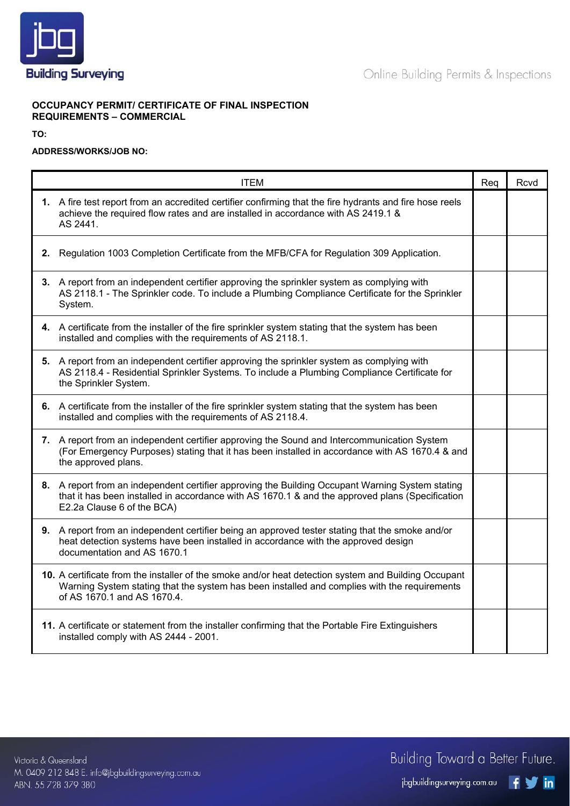

## **OCCUPANCY PERMIT/ CERTIFICATE OF FINAL INSPECTION REQUIREMENTS – COMMERCIAL**

**TO:** 

## **ADDRESS/WORKS/JOB NO:**

| <b>ITEM</b>                                                                                                                                                                                                                         | Req | Rcvd |
|-------------------------------------------------------------------------------------------------------------------------------------------------------------------------------------------------------------------------------------|-----|------|
| 1. A fire test report from an accredited certifier confirming that the fire hydrants and fire hose reels<br>achieve the required flow rates and are installed in accordance with AS 2419.1 &<br>AS 2441.                            |     |      |
| 2. Regulation 1003 Completion Certificate from the MFB/CFA for Regulation 309 Application.                                                                                                                                          |     |      |
| 3. A report from an independent certifier approving the sprinkler system as complying with<br>AS 2118.1 - The Sprinkler code. To include a Plumbing Compliance Certificate for the Sprinkler<br>System.                             |     |      |
| 4. A certificate from the installer of the fire sprinkler system stating that the system has been<br>installed and complies with the requirements of AS 2118.1.                                                                     |     |      |
| 5. A report from an independent certifier approving the sprinkler system as complying with<br>AS 2118.4 - Residential Sprinkler Systems. To include a Plumbing Compliance Certificate for<br>the Sprinkler System.                  |     |      |
| 6. A certificate from the installer of the fire sprinkler system stating that the system has been<br>installed and complies with the requirements of AS 2118.4.                                                                     |     |      |
| 7. A report from an independent certifier approving the Sound and Intercommunication System<br>(For Emergency Purposes) stating that it has been installed in accordance with AS 1670.4 & and<br>the approved plans.                |     |      |
| 8. A report from an independent certifier approving the Building Occupant Warning System stating<br>that it has been installed in accordance with AS 1670.1 & and the approved plans (Specification<br>E2.2a Clause 6 of the BCA)   |     |      |
| 9. A report from an independent certifier being an approved tester stating that the smoke and/or<br>heat detection systems have been installed in accordance with the approved design<br>documentation and AS 1670.1                |     |      |
| 10. A certificate from the installer of the smoke and/or heat detection system and Building Occupant<br>Warning System stating that the system has been installed and complies with the requirements<br>of AS 1670.1 and AS 1670.4. |     |      |
| 11. A certificate or statement from the installer confirming that the Portable Fire Extinguishers<br>installed comply with AS 2444 - 2001.                                                                                          |     |      |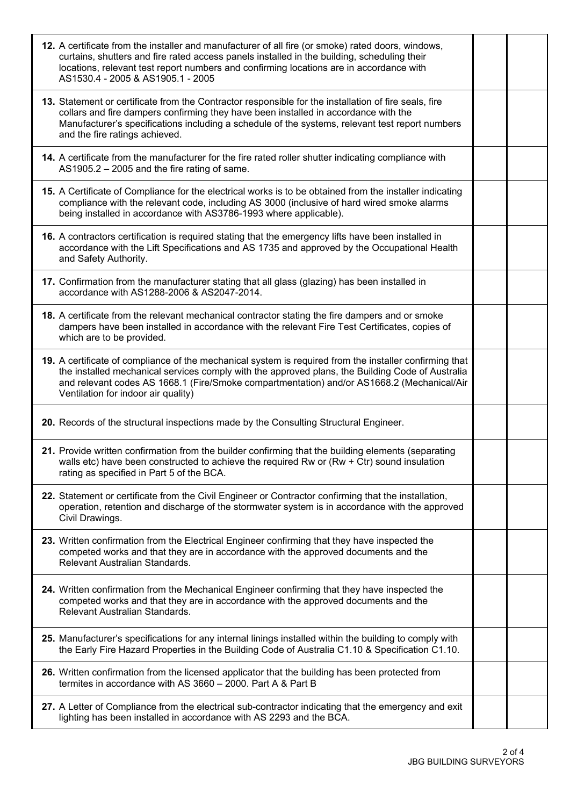| 12. A certificate from the installer and manufacturer of all fire (or smoke) rated doors, windows,<br>curtains, shutters and fire rated access panels installed in the building, scheduling their<br>locations, relevant test report numbers and confirming locations are in accordance with<br>AS1530.4 - 2005 & AS1905.1 - 2005                |  |
|--------------------------------------------------------------------------------------------------------------------------------------------------------------------------------------------------------------------------------------------------------------------------------------------------------------------------------------------------|--|
| 13. Statement or certificate from the Contractor responsible for the installation of fire seals, fire<br>collars and fire dampers confirming they have been installed in accordance with the<br>Manufacturer's specifications including a schedule of the systems, relevant test report numbers<br>and the fire ratings achieved.                |  |
| 14. A certificate from the manufacturer for the fire rated roller shutter indicating compliance with<br>AS1905.2 - 2005 and the fire rating of same.                                                                                                                                                                                             |  |
| 15. A Certificate of Compliance for the electrical works is to be obtained from the installer indicating<br>compliance with the relevant code, including AS 3000 (inclusive of hard wired smoke alarms<br>being installed in accordance with AS3786-1993 where applicable).                                                                      |  |
| 16. A contractors certification is required stating that the emergency lifts have been installed in<br>accordance with the Lift Specifications and AS 1735 and approved by the Occupational Health<br>and Safety Authority.                                                                                                                      |  |
| 17. Confirmation from the manufacturer stating that all glass (glazing) has been installed in<br>accordance with AS1288-2006 & AS2047-2014.                                                                                                                                                                                                      |  |
| 18. A certificate from the relevant mechanical contractor stating the fire dampers and or smoke<br>dampers have been installed in accordance with the relevant Fire Test Certificates, copies of<br>which are to be provided.                                                                                                                    |  |
| 19. A certificate of compliance of the mechanical system is required from the installer confirming that<br>the installed mechanical services comply with the approved plans, the Building Code of Australia<br>and relevant codes AS 1668.1 (Fire/Smoke compartmentation) and/or AS1668.2 (Mechanical/Air<br>Ventilation for indoor air quality) |  |
| 20. Records of the structural inspections made by the Consulting Structural Engineer.                                                                                                                                                                                                                                                            |  |
| 21. Provide written confirmation from the builder confirming that the building elements (separating<br>walls etc) have been constructed to achieve the required Rw or (Rw $+$ Ctr) sound insulation<br>rating as specified in Part 5 of the BCA.                                                                                                 |  |
| 22. Statement or certificate from the Civil Engineer or Contractor confirming that the installation,<br>operation, retention and discharge of the stormwater system is in accordance with the approved<br>Civil Drawings.                                                                                                                        |  |
| 23. Written confirmation from the Electrical Engineer confirming that they have inspected the<br>competed works and that they are in accordance with the approved documents and the<br>Relevant Australian Standards.                                                                                                                            |  |
| 24. Written confirmation from the Mechanical Engineer confirming that they have inspected the<br>competed works and that they are in accordance with the approved documents and the<br>Relevant Australian Standards.                                                                                                                            |  |
| 25. Manufacturer's specifications for any internal linings installed within the building to comply with<br>the Early Fire Hazard Properties in the Building Code of Australia C1.10 & Specification C1.10.                                                                                                                                       |  |
| 26. Written confirmation from the licensed applicator that the building has been protected from<br>termites in accordance with AS 3660 - 2000. Part A & Part B                                                                                                                                                                                   |  |
| 27. A Letter of Compliance from the electrical sub-contractor indicating that the emergency and exit<br>lighting has been installed in accordance with AS 2293 and the BCA.                                                                                                                                                                      |  |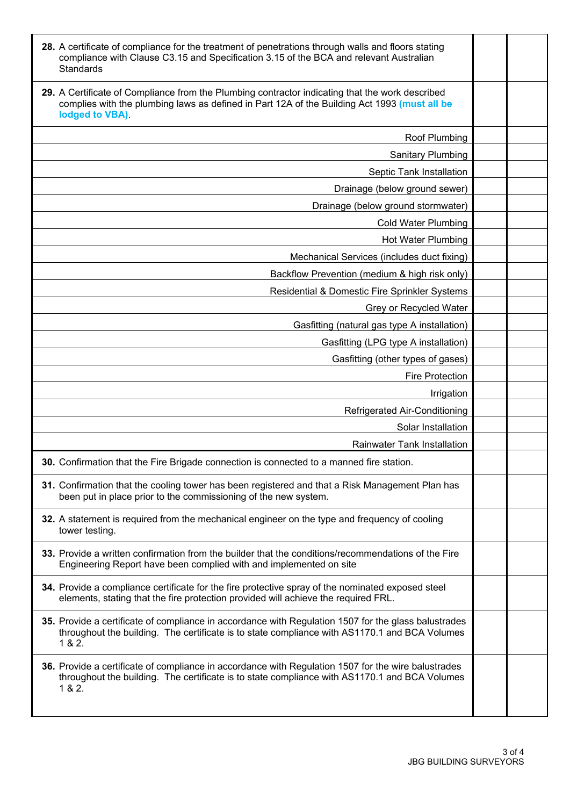| 28. A certificate of compliance for the treatment of penetrations through walls and floors stating<br>compliance with Clause C3.15 and Specification 3.15 of the BCA and relevant Australian<br>Standards          |  |
|--------------------------------------------------------------------------------------------------------------------------------------------------------------------------------------------------------------------|--|
| 29. A Certificate of Compliance from the Plumbing contractor indicating that the work described<br>complies with the plumbing laws as defined in Part 12A of the Building Act 1993 (must all be<br>lodged to VBA). |  |
| Roof Plumbing                                                                                                                                                                                                      |  |
| <b>Sanitary Plumbing</b>                                                                                                                                                                                           |  |
| Septic Tank Installation                                                                                                                                                                                           |  |
| Drainage (below ground sewer)                                                                                                                                                                                      |  |
| Drainage (below ground stormwater)                                                                                                                                                                                 |  |
| <b>Cold Water Plumbing</b>                                                                                                                                                                                         |  |
| Hot Water Plumbing                                                                                                                                                                                                 |  |
| Mechanical Services (includes duct fixing)                                                                                                                                                                         |  |
| Backflow Prevention (medium & high risk only)                                                                                                                                                                      |  |
| Residential & Domestic Fire Sprinkler Systems                                                                                                                                                                      |  |
| Grey or Recycled Water                                                                                                                                                                                             |  |
| Gasfitting (natural gas type A installation)                                                                                                                                                                       |  |
| Gasfitting (LPG type A installation)                                                                                                                                                                               |  |
| Gasfitting (other types of gases)                                                                                                                                                                                  |  |
| <b>Fire Protection</b>                                                                                                                                                                                             |  |
| Irrigation                                                                                                                                                                                                         |  |
| Refrigerated Air-Conditioning                                                                                                                                                                                      |  |
| Solar Installation                                                                                                                                                                                                 |  |
| <b>Rainwater Tank Installation</b>                                                                                                                                                                                 |  |
| 30. Confirmation that the Fire Brigade connection is connected to a manned fire station.                                                                                                                           |  |
| 31. Confirmation that the cooling tower has been registered and that a Risk Management Plan has<br>been put in place prior to the commissioning of the new system.                                                 |  |
| 32. A statement is required from the mechanical engineer on the type and frequency of cooling<br>tower testing.                                                                                                    |  |
| 33. Provide a written confirmation from the builder that the conditions/recommendations of the Fire<br>Engineering Report have been complied with and implemented on site                                          |  |
| 34. Provide a compliance certificate for the fire protective spray of the nominated exposed steel<br>elements, stating that the fire protection provided will achieve the required FRL.                            |  |
| 35. Provide a certificate of compliance in accordance with Regulation 1507 for the glass balustrades<br>throughout the building. The certificate is to state compliance with AS1170.1 and BCA Volumes<br>1 & 2.    |  |
| 36. Provide a certificate of compliance in accordance with Regulation 1507 for the wire balustrades<br>throughout the building. The certificate is to state compliance with AS1170.1 and BCA Volumes<br>1 & 2.     |  |